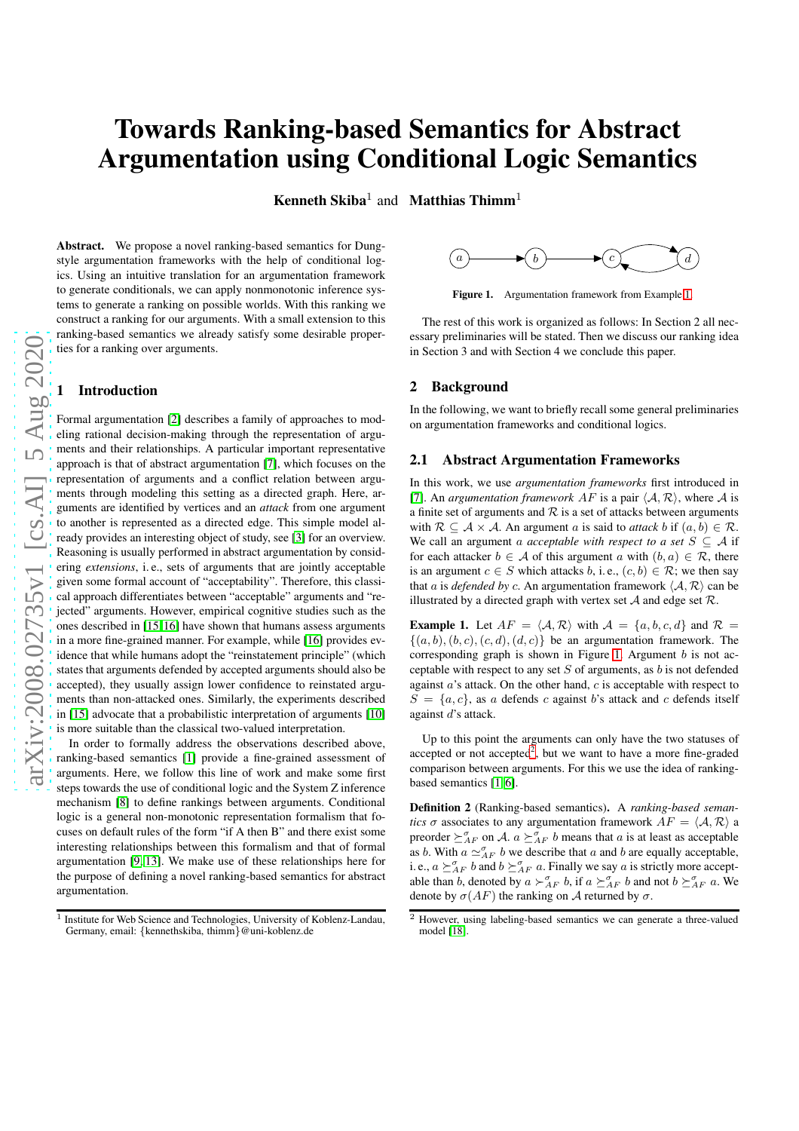# Towards Ranking-based Semantics for Abstract Argumentation using Conditional Logic Semantics

**Kenneth Skiba**<sup>1</sup> and **Matthias Thimm**<sup>1</sup>

Abstract. We propose a novel ranking-based semantics for Dungstyle argumentation frameworks with the help of conditional logics. Using an intuitive translation for an argumentation framework to generate conditionals, we can apply nonmonotonic inference systems to generate a ranking on possible worlds. With this ranking we construct a ranking for our arguments. With a small extension to this ranking-based semantics we already satisfy some desirable properties for a ranking over arguments.

## **Introduction**

Formal argumentation [\[2\]](#page-3-0) describes a family of approaches to modeling rational decision-making through the representation of arguments and their relationships. A particular important representative approach is that of abstract argumentation [\[7\]](#page-3-1), which focuses on the representation of arguments and a conflict relation between arguments through modeling this setting as a directed graph. Here, arguments are identified by vertices and an *attack* from one argument to another is represented as a directed edge. This simple model already provides an interesting object of study, see [\[3\]](#page-3-2) for an overview. Reasoning is usually performed in abstract argumentation by considering *extensions*, i. e., sets of arguments that are jointly acceptable given some formal account of "acceptability". Therefore, this classical approach differentiates between "acceptable" arguments and "rejected" arguments. However, empirical cognitive studies such as the ones described in [\[15,](#page-3-3) [16\]](#page-3-4) have shown that humans assess arguments in a more fine-grained manner. For example, while [\[16\]](#page-3-4) provides evidence that while humans adopt the "reinstatement principle" (which states that arguments defended by accepted arguments should also be accepted), they usually assign lower confidence to reinstated arguments than non-attacked ones. Similarly, the experiments described in [\[15\]](#page-3-3) advocate that a probabilistic interpretation of arguments [\[10\]](#page-3-5) is more suitable than the classical two-valued interpretation.

In order to formally address the observations described above, ranking-based semantics [\[1\]](#page-3-6) provide a fine-grained assessment of arguments. Here, we follow this line of work and make some first steps towards the use of conditional logic and the System Z inference mechanism [\[8\]](#page-3-7) to define rankings between arguments. Conditional logic is a general non-monotonic representation formalism that focuses on default rules of the form "if A then B" and there exist some interesting relationships between this formalism and that of formal argumentation [\[9,](#page-3-8) [13\]](#page-3-9). We make use of these relationships here for the purpose of defining a novel ranking-based semantics for abstract argumentation.



<span id="page-0-1"></span>Figure [1.](#page-0-0) Argumentation framework from Example 1.

The rest of this work is organized as follows: In Section 2 all necessary preliminaries will be stated. Then we discuss our ranking idea in Section 3 and with Section 4 we conclude this paper.

## 2 Background

In the following, we want to briefly recall some general preliminaries on argumentation frameworks and conditional logics.

### 2.1 Abstract Argumentation Frameworks

In this work, we use *argumentation frameworks* first introduced in [\[7\]](#page-3-1). An *argumentation framework AF* is a pair  $\langle A, R \rangle$ , where A is a finite set of arguments and  $R$  is a set of attacks between arguments with  $\mathcal{R} \subset \mathcal{A} \times \mathcal{A}$ . An argument a is said to *attack* b if  $(a, b) \in \mathcal{R}$ . We call an argument a *acceptable with respect to a set*  $S \subseteq A$  if for each attacker  $b \in A$  of this argument a with  $(b, a) \in \mathcal{R}$ , there is an argument  $c \in S$  which attacks b, i.e.,  $(c, b) \in \mathcal{R}$ ; we then say that *a* is *defended by c*. An argumentation framework  $\langle A, R \rangle$  can be illustrated by a directed graph with vertex set  $A$  and edge set  $R$ .

<span id="page-0-0"></span>**Example 1.** Let  $AF = \langle A, R \rangle$  with  $A = \{a, b, c, d\}$  and  $R =$  $\{(a, b), (b, c), (c, d), (d, c)\}\)$  be an argumentation framework. The corresponding graph is shown in Figure [1.](#page-0-1) Argument  $b$  is not acceptable with respect to any set  $S$  of arguments, as  $b$  is not defended against  $a$ 's attack. On the other hand,  $c$  is acceptable with respect to  $S = \{a, c\}$ , as a defends c against b's attack and c defends itself against d's attack.

Up to this point the arguments can only have the two statuses of accepted or not accepted<sup>[2](#page-0-2)</sup>, but we want to have a more fine-graded comparison between arguments. For this we use the idea of rankingbased semantics [\[1,](#page-3-6) [6\]](#page-3-10).

Definition 2 (Ranking-based semantics). A *ranking-based semantics*  $\sigma$  associates to any argumentation framework  $AF = \langle A, \mathcal{R} \rangle$  a preorder  $\geq_{AF}^{\sigma}$  on A.  $a \geq_{AF}^{\sigma} b$  means that a is at least as acceptable as b. With  $a \simeq_{AF}^{\sigma} b$  we describe that a and b are equally acceptable, i. e.,  $a \succeq_{AF}^{\sigma} b$  and  $b \succeq_{AF}^{\sigma} a$ . Finally we say a is strictly more acceptable than b, denoted by  $a \succ_{AF}^{\sigma} b$ , if  $a \succeq_{AF}^{\sigma} b$  and not  $b \succeq_{AF}^{\sigma} a$ . We denote by  $\sigma(AF)$  the ranking on A returned by  $\sigma$ .

<sup>&</sup>lt;sup>1</sup> Institute for Web Science and Technologies, University of Koblenz-Landau, Germany, email: {kennethskiba, thimm}@uni-koblenz.de

<span id="page-0-2"></span><sup>2</sup> However, using labeling-based semantics we can generate a three-valued model [\[18\]](#page-3-11).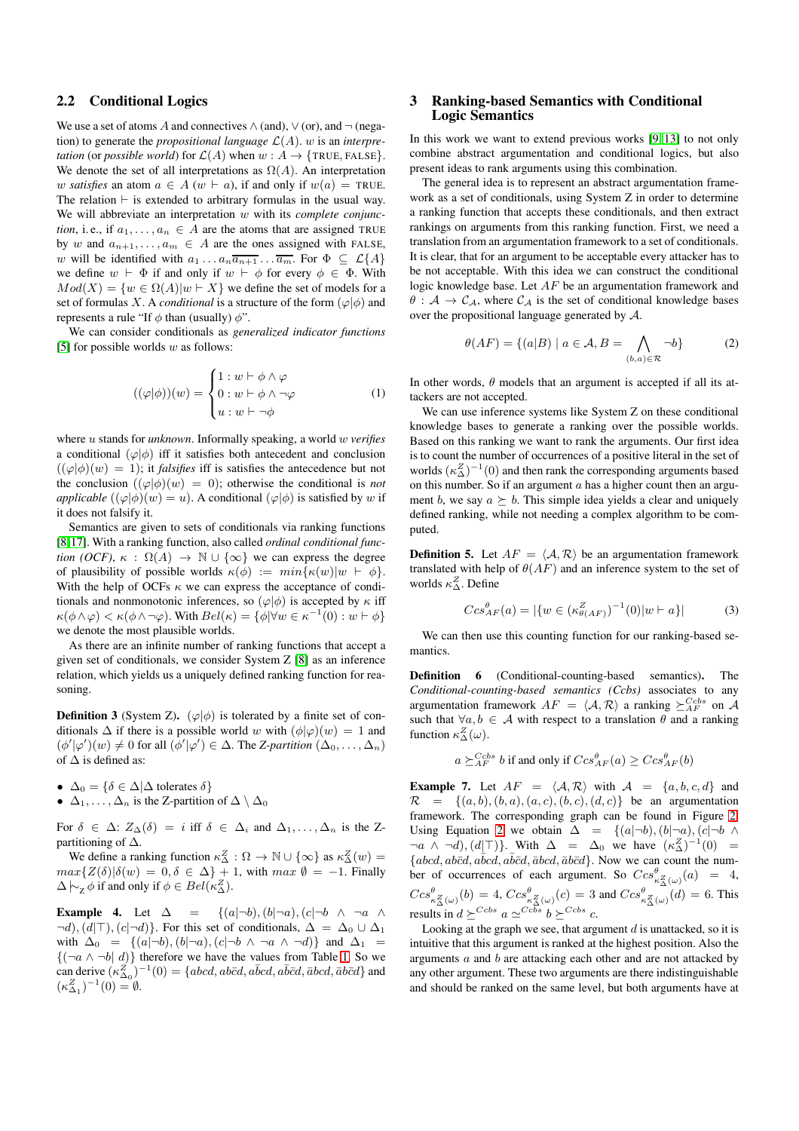# 2.2 Conditional Logics

We use a set of atoms A and connectives  $\wedge$  (and),  $\vee$  (or), and  $\neg$  (negation) to generate the *propositional language*  $\mathcal{L}(A)$ . w is an *interpretation* (or *possible world*) for  $\mathcal{L}(A)$  when  $w : A \rightarrow \{TRUE, FALSE\}.$ We denote the set of all interpretations as  $\Omega(A)$ . An interpretation w *satisfies* an atom  $a \in A$  (w  $\vdash a$ ), if and only if  $w(a) = \text{TRUE}$ . The relation  $\vdash$  is extended to arbitrary formulas in the usual way. We will abbreviate an interpretation w with its *complete conjunction*, i.e., if  $a_1, \ldots, a_n \in A$  are the atoms that are assigned TRUE by w and  $a_{n+1}, \ldots, a_m \in A$  are the ones assigned with FALSE, w will be identified with  $a_1 \ldots a_n \overline{a_{n+1}} \ldots \overline{a_m}$ . For  $\Phi \subseteq \mathcal{L}{A}$ we define  $w \vdash \Phi$  if and only if  $w \vdash \phi$  for every  $\phi \in \Phi$ . With  $Mod(X) = \{w \in \Omega(A)|w \in X\}$  we define the set of models for a set of formulas X. A *conditional* is a structure of the form  $(\varphi | \phi)$  and represents a rule "If  $\phi$  than (usually)  $\phi$ ".

We can consider conditionals as *generalized indicator functions* [\[5\]](#page-3-12) for possible worlds  $w$  as follows:

$$
((\varphi|\phi))(w) = \begin{cases} 1: w \vdash \phi \land \varphi \\ 0: w \vdash \phi \land \neg \varphi \\ u: w \vdash \neg \phi \end{cases}
$$
 (1)

where u stands for *unknown*. Informally speaking, a world w *verifies* a conditional  $(\varphi|\phi)$  iff it satisfies both antecedent and conclusion  $((\varphi|\phi)(w) = 1)$ ; it *falsifies* iff is satisfies the antecedence but not the conclusion  $((\varphi | \phi)(w) = 0)$ ; otherwise the conditional is *not applicable*  $((\varphi | \phi)(w) = u)$ . A conditional  $(\varphi | \phi)$  is satisfied by w if it does not falsify it.

Semantics are given to sets of conditionals via ranking functions [\[8,](#page-3-7)[17\]](#page-3-13). With a ranking function, also called *ordinal conditional function (OCF)*,  $\kappa$  :  $\Omega(A) \to \mathbb{N} \cup {\infty}$  we can express the degree of plausibility of possible worlds  $\kappa(\phi) := min{\kappa(w)|w \vdash \phi}$ . With the help of OCFs  $\kappa$  we can express the acceptance of conditionals and nonmonotonic inferences, so  $(\varphi | \phi)$  is accepted by  $\kappa$  iff  $\kappa(\phi \wedge \varphi) < \kappa(\phi \wedge \neg \varphi)$ . With  $Bel(\kappa) = {\phi | \forall w \in \kappa^{-1}(0) : w \vdash \phi}$ we denote the most plausible worlds.

As there are an infinite number of ranking functions that accept a given set of conditionals, we consider System Z [\[8\]](#page-3-7) as an inference relation, which yields us a uniquely defined ranking function for reasoning.

**Definition 3** (System Z). ( $\varphi | \phi$ ) is tolerated by a finite set of conditionals  $\Delta$  if there is a possible world w with  $(\phi|\varphi)(w) = 1$  and  $(\phi'|\varphi')(w) \neq 0$  for all  $(\phi'|\varphi') \in \Delta$ . The *Z-partition*  $(\Delta_0, \ldots, \Delta_n)$ of  $\Delta$  is defined as:

- $\Delta_0 = \{\delta \in \Delta | \Delta \text{ tolerates } \delta\}$
- $\Delta_1, \ldots, \Delta_n$  is the Z-partition of  $\Delta \setminus \Delta_0$

For  $\delta \in \Delta$ :  $Z_{\Delta}(\delta) = i$  iff  $\delta \in \Delta_i$  and  $\Delta_1, \ldots, \Delta_n$  is the Zpartitioning of  $\Delta$ .

We define a ranking function  $\kappa_{\Delta}^{Z} : \Omega \to \mathbb{N} \cup \{ \infty \}$  as  $\kappa_{\Delta}^{Z}(w) =$  $max{Z(\delta)|\delta(w) = 0, \delta \in \Delta} + 1$ , with  $max \emptyset = -1$ . Finally  $\Delta \big| \sim_{\mathbb{Z}} \phi$  if and only if  $\phi \in Bel(\kappa_{\Delta}^Z)$ .

<span id="page-1-1"></span>Example 4. Let  $\Delta = \{(a|\neg b), (b|\neg a), (c|\neg b \land \neg a \land b)\}$  $\neg d$ ,  $(d|\top)$ ,  $(c|\neg d)$ . For this set of conditionals,  $\Delta = \Delta_0 \cup \Delta_1$ with  $\Delta_0 = \{(a|\neg b), (b|\neg a), (c|\neg b \land \neg a \land \neg d)\}\$ and  $\Delta_1$  ${(\neg a \land \neg b \mid d)}$  therefore we have the values from Table [1.](#page-2-0) So we can derive  $(\kappa_{\Delta_0}^Z)^{-1}(0) = \{abcd, ab\bar{c}d, a\bar{b}cd, a\bar{b}\bar{c}d, \bar{a}bcd, \bar{a}bcd, \bar{a}bcd\}$  and  $(\kappa_{\Delta_1}^Z)^{-1}(0) = \emptyset.$ 

# 3 Ranking-based Semantics with Conditional Logic Semantics

In this work we want to extend previous works [\[9,](#page-3-8) [13\]](#page-3-9) to not only combine abstract argumentation and conditional logics, but also present ideas to rank arguments using this combination.

The general idea is to represent an abstract argumentation framework as a set of conditionals, using System Z in order to determine a ranking function that accepts these conditionals, and then extract rankings on arguments from this ranking function. First, we need a translation from an argumentation framework to a set of conditionals. It is clear, that for an argument to be acceptable every attacker has to be not acceptable. With this idea we can construct the conditional logic knowledge base. Let AF be an argumentation framework and  $\theta : A \to C_A$ , where  $C_A$  is the set of conditional knowledge bases over the propositional language generated by A.

<span id="page-1-0"></span>
$$
\theta(AF) = \{(a|B) \mid a \in \mathcal{A}, B = \bigwedge_{(b,a) \in \mathcal{R}} \neg b\}
$$
 (2)

In other words,  $\theta$  models that an argument is accepted if all its attackers are not accepted.

We can use inference systems like System Z on these conditional knowledge bases to generate a ranking over the possible worlds. Based on this ranking we want to rank the arguments. Our first idea is to count the number of occurrences of a positive literal in the set of worlds  $(\kappa_{\Delta}^{Z})^{-1}(0)$  and then rank the corresponding arguments based on this number. So if an argument  $a$  has a higher count then an argument b, we say  $a \succeq b$ . This simple idea yields a clear and uniquely defined ranking, while not needing a complex algorithm to be computed.

**Definition 5.** Let  $AF = \langle A, R \rangle$  be an argumentation framework translated with help of  $\theta(AF)$  and an inference system to the set of worlds  $\kappa_{\Delta}^{Z}$ . Define

$$
Ccs_{AF}^{\theta}(a) = |\{w \in (\kappa_{\theta(AF)}^{Z})^{-1}(0)|w \vdash a\}| \tag{3}
$$

We can then use this counting function for our ranking-based semantics.

Definition 6 (Conditional-counting-based semantics). The *Conditional-counting-based semantics (Ccbs)* associates to any argumentation framework  $AF = \langle A, R \rangle$  a ranking  $\succeq_{AF}^{Cobs}$  on  $\mathcal{A}$ such that  $\forall a, b \in \mathcal{A}$  with respect to a translation  $\theta$  and a ranking function  $\kappa_{\Delta}^{Z}(\omega)$ .

$$
a \succeq_{AF}^{Cobs} b
$$
 if and only if  $Ccs_{AF}^{\theta}(a) \geq Ccs_{AF}^{\theta}(b)$ 

<span id="page-1-2"></span>**Example 7.** Let  $AF = \langle A, R \rangle$  with  $A = \{a, b, c, d\}$  and  $\mathcal{R} = \{(a, b), (b, a), (a, c), (b, c), (d, c)\}\$ be an argumentation framework. The corresponding graph can be found in Figure [2.](#page-2-1) Using Equation [2](#page-1-0) we obtain  $\Delta = \{(a|\neg b), (b|\neg a), (c|\neg b \land b)\}$  $\neg a \land \neg d$ , (d|⊤)}. With  $\Delta = \Delta_0$  we have  $(\kappa_\Delta^Z)^{-1}(0) =$  ${[abcd, ab\bar{c}d, a\bar{b}cd, a\bar{b}\bar{c}d, \bar{a}b\bar{c}d, \bar{a}b\bar{c}d]}$ . Now we can count the number of occurrences of each argument. So  $Ccs_{\kappa_{\Delta}^{g}(\omega)}^{0}(a) = 4$ ,  $Ccs_{\kappa_{\Delta}^Z(\omega)}^{\theta}(b) = 4, Ccs_{\kappa_{\Delta}^Z(\omega)}^{\theta}(c) = 3$  and  $Ccs_{\kappa_{\Delta}^Z(\omega)}^{\theta}(d) = 6$ . This results in  $d \succeq^{Ccbs} a \simeq^{Ccbs} b \succeq^{Ccbs} c$ .

Looking at the graph we see, that argument  $d$  is unattacked, so it is intuitive that this argument is ranked at the highest position. Also the arguments a and b are attacking each other and are not attacked by any other argument. These two arguments are there indistinguishable and should be ranked on the same level, but both arguments have at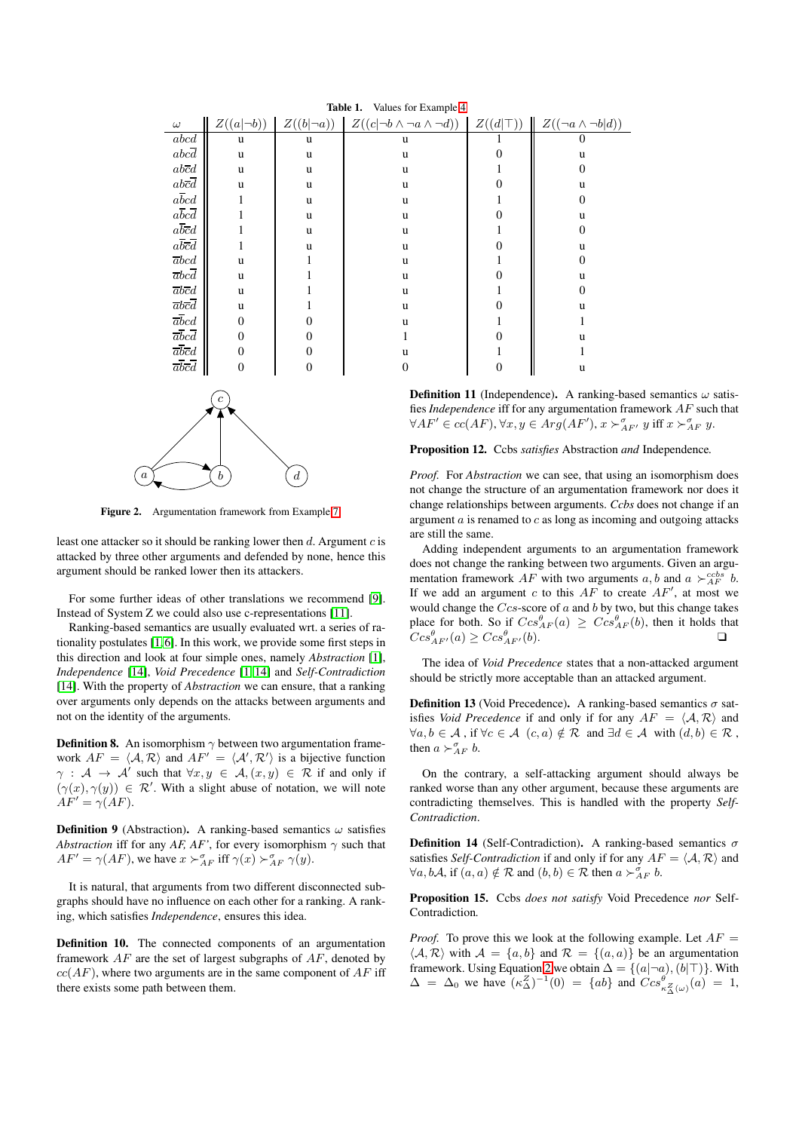| <b>Table 1.</b> Values for Example 4                                                                |                  |                 |                                             |                  |                               |
|-----------------------------------------------------------------------------------------------------|------------------|-----------------|---------------------------------------------|------------------|-------------------------------|
| $\omega$                                                                                            | $Z((a \neg b))$  | $Z((b \neg a))$ | $Z((c \neg b \wedge \neg a \wedge \neg d))$ | $Z((d \top))$    | $Z((\neg a \wedge \neg b d))$ |
| abcd                                                                                                | u                | u               | u                                           | ı                | 0                             |
| abcd                                                                                                | u                | u               | u                                           | 0                | u                             |
| $abcd$                                                                                              | u                | u               | u                                           | 1                | $\overline{0}$                |
| $abcd$                                                                                              | u                | u               | u                                           | $\overline{0}$   | u                             |
| $abcd$                                                                                              |                  | u               | u                                           | 1                | $\overline{0}$                |
| $a\overline{b}c\overline{d}$                                                                        |                  | u               | u                                           | $\boldsymbol{0}$ | u                             |
| $a\bar{b}\bar{c}\bar{d}$                                                                            |                  | u               | u                                           | 1                | $\overline{0}$                |
| $a\overline{b}\overline{c}\overline{d}$                                                             |                  | u               | u                                           | $\boldsymbol{0}$ | u                             |
| $\overline{a}bcd$                                                                                   | u                |                 | u                                           | 1                | 0                             |
| $\overline{abcd}$                                                                                   | u                |                 | u                                           | $\overline{0}$   | u                             |
| $\overline{a}b\overline{c}d$                                                                        | u                |                 | u                                           | 1                | 0                             |
| $\overline{abcd}$                                                                                   | u                |                 | u                                           | $\overline{0}$   | u                             |
| $\overline{a}bcd$                                                                                   | $\theta$         | 0               | u                                           | 1                | 1                             |
| $\overline{abcd}$                                                                                   | $\boldsymbol{0}$ | 0               | 1                                           | 0                | u                             |
| $\overline{abcd}$                                                                                   | $\theta$         | 0               | u                                           | 1                |                               |
| $\overline{abcd}$                                                                                   | $\theta$         | 0               | 0                                           | $\boldsymbol{0}$ | u                             |
| Definition 11 (Independence). A ranking-ba<br>fies <i>Independence</i> iff for any argumentation fr |                  |                 |                                             |                  |                               |

<span id="page-2-0"></span> $T<sub>1</sub>$   $T<sub>2</sub>$   $T<sub>3</sub>$ 

 $a \sum_{b}$  (b)  $\boldsymbol{d}$ 

<span id="page-2-1"></span>Figure 2. Argumentation framework from Example [7](#page-1-2)

least one attacker so it should be ranking lower then  $d$ . Argument  $c$  is attacked by three other arguments and defended by none, hence this argument should be ranked lower then its attackers.

For some further ideas of other translations we recommend [\[9\]](#page-3-8). Instead of System Z we could also use c-representations [\[11\]](#page-3-14).

Ranking-based semantics are usually evaluated wrt. a series of rationality postulates [\[1,](#page-3-6)[6\]](#page-3-10). In this work, we provide some first steps in this direction and look at four simple ones, namely *Abstraction* [\[1\]](#page-3-6), *Independence* [\[14\]](#page-3-15), *Void Precedence* [\[1,](#page-3-6) [14\]](#page-3-15) and *Self-Contradiction* [\[14\]](#page-3-15). With the property of *Abstraction* we can ensure, that a ranking over arguments only depends on the attacks between arguments and not on the identity of the arguments.

**Definition 8.** An isomorphism  $\gamma$  between two argumentation framework  $AF = \langle A, R \rangle$  and  $AF' = \langle A', R' \rangle$  is a bijective function  $\gamma$  :  $\mathcal{A} \to \mathcal{A}'$  such that  $\forall x, y \in \mathcal{A}, (x, y) \in \mathcal{R}$  if and only if  $(\gamma(x), \gamma(y)) \in \mathcal{R}'$ . With a slight abuse of notation, we will note  $AF' = \gamma (AF)$ .

**Definition 9** (Abstraction). A ranking-based semantics  $\omega$  satisfies *Abstraction* iff for any *AF, AF'*, for every isomorphism  $\gamma$  such that  $AF' = \gamma (AF)$ , we have  $x \succ_{AF}^{\sigma}$  iff  $\gamma(x) \succ_{AF}^{\sigma} \gamma(y)$ .

It is natural, that arguments from two different disconnected subgraphs should have no influence on each other for a ranking. A ranking, which satisfies *Independence*, ensures this idea.

Definition 10. The connected components of an argumentation framework  $AF$  are the set of largest subgraphs of  $AF$ , denoted by  $cc(AF)$ , where two arguments are in the same component of  $AF$  iff there exists some path between them.

ased semantics  $\omega$  satisframework *AF* such that  $\forall AF' \in cc(AF), \forall x, y \in Arg(AF'), x \succ^{\sigma}_{AF'} y$  iff  $x \succ^{\sigma}_{AF} y$ .

Proposition 12. Ccbs *satisfies* Abstraction *and* Independence*.*

*Proof.* For *Abstraction* we can see, that using an isomorphism does not change the structure of an argumentation framework nor does it change relationships between arguments. *Ccbs* does not change if an argument  $a$  is renamed to  $c$  as long as incoming and outgoing attacks are still the same.

Adding independent arguments to an argumentation framework does not change the ranking between two arguments. Given an argumentation framework AF with two arguments  $a, b$  and  $a \succ_{AF}^{cobs} b$ . If we add an argument c to this  $AF$  to create  $AF'$ , at most we would change the  $Ccs$ -score of  $a$  and  $b$  by two, but this change takes place for both. So if  $Ccs_{AF}^{\theta}(a) \geq Ccs_{AF}^{\theta}(b)$ , then it holds that  $Ccs_{AF'}^{\theta}(a) \geq Ccs_{AF'}^{\theta}(b).$ 

The idea of *Void Precedence* states that a non-attacked argument should be strictly more acceptable than an attacked argument.

**Definition 13** (Void Precedence). A ranking-based semantics  $\sigma$  satisfies *Void Precedence* if and only if for any  $AF = \langle A, \mathcal{R} \rangle$  and  $\forall a, b \in \mathcal{A}$ , if  $\forall c \in \mathcal{A}$   $(c, a) \notin \mathcal{R}$  and  $\exists d \in \mathcal{A}$  with  $(d, b) \in \mathcal{R}$ , then  $a \succ_{AF}^{\sigma} b$ .

On the contrary, a self-attacking argument should always be ranked worse than any other argument, because these arguments are contradicting themselves. This is handled with the property *Self-Contradiction*.

**Definition 14** (Self-Contradiction). A ranking-based semantics  $\sigma$ satisfies *Self-Contradiction* if and only if for any  $AF = \langle A, R \rangle$  and  $\forall a, b\mathcal{A}, \text{ if } (a, a) \notin \mathcal{R} \text{ and } (b, b) \in \mathcal{R} \text{ then } a \succ^{\sigma}_{AF} b.$ 

Proposition 15. Ccbs *does not satisfy* Void Precedence *nor* Self-Contradiction*.*

*Proof.* To prove this we look at the following example. Let  $AF =$  $\langle A, \mathcal{R} \rangle$  with  $\mathcal{A} = \{a, b\}$  and  $\mathcal{R} = \{(a, a)\}\$ be an argumentation framework. Using Equation [2](#page-1-0) we obtain  $\Delta = \{ (a | \neg a), (b | \top) \}$ . With  $\Delta = \Delta_0$  we have  $(\kappa_\Delta^Z)^{-1}(0) = \{ab\}$  and  $Ccs_{\kappa_\Delta^Z(\omega)}^{\theta}(a) = 1$ ,